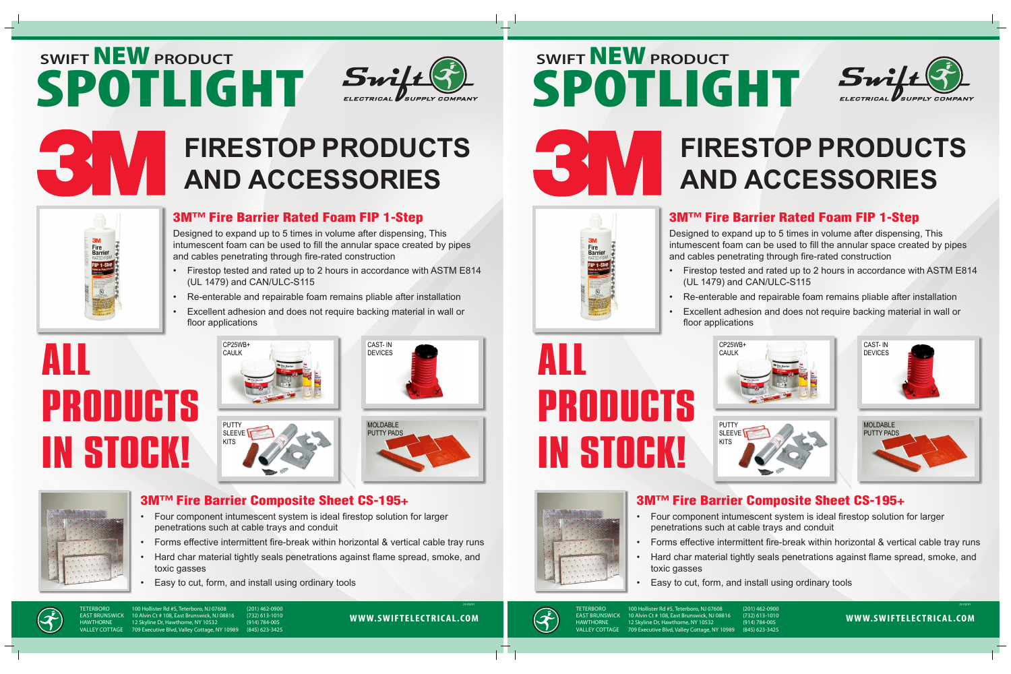## **SWIFT** NEW **PRODUCT** SPOTLIGHT Swift



### **FIRESTOP PRODUCTS AND ACCESSORIES**



### 3M™ Fire Barrier Rated Foam FIP 1-Step

Designed to expand up to 5 times in volume after dispensing, This intumescent foam can be used to fill the annular space created by pipes and cables penetrating through fire-rated construction

- Firestop tested and rated up to 2 hours in accordance with ASTM E814 (UL 1479) and CAN/ULC-S115
- Re-enterable and repairable foam remains pliable after installation
- Excellent adhesion and does not require backing material in wall or floor applications

# ALL PRODUCTS IN STOCK!











#### 3M™ Fire Barrier Composite Sheet CS-195+

- Four component intumescent system is ideal firestop solution for larger penetrations such at cable trays and conduit
- Forms effective intermittent fire-break within horizontal & vertical cable tray runs
- Hard char material tightly seals penetrations against flame spread, smoke, and toxic gasses
	- Easy to cut, form, and install using ordinary tools



TETERBORO 100 Hollister Rd #5, Teterboro, NJ 07608 (201) 462-0900 EAST BRUNSWICK 10 Alvin Ct # 108, East Brunswick, NJ 08816 (732) 613-1010<br>
HAWTHORNE 12 Skyline Dr, Hawthorne, NY 10532 (914) 784-005 HAWTHORNE 12 Skyline Dr, Hawthorne, NY 10532 (914) 784-005<br>VALLEY COTTAGE 709 Executive Blvd. Vallev Cottage. NY 10989 (845) 623-3425 709 Executive Blvd, Valley Cottage, NY 10989

**WWW.SWIFTELECTRICAL.COM**

22-02/01